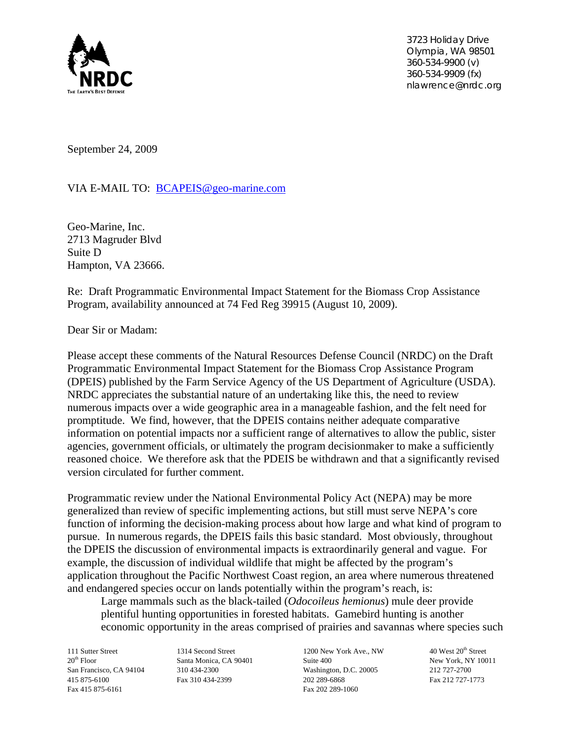

 *3723 Holiday Drive Olympia, WA 98501 360-534-9900 (v) 360-534-9909 (fx) nlawrence@nrdc.org*

September 24, 2009

VIA E-MAIL TO: BCAPEIS@geo-marine.com

Geo-Marine, Inc. 2713 Magruder Blvd Suite D Hampton, VA 23666.

Re: Draft Programmatic Environmental Impact Statement for the Biomass Crop Assistance Program, availability announced at 74 Fed Reg 39915 (August 10, 2009).

Dear Sir or Madam:

Please accept these comments of the Natural Resources Defense Council (NRDC) on the Draft Programmatic Environmental Impact Statement for the Biomass Crop Assistance Program (DPEIS) published by the Farm Service Agency of the US Department of Agriculture (USDA). NRDC appreciates the substantial nature of an undertaking like this, the need to review numerous impacts over a wide geographic area in a manageable fashion, and the felt need for promptitude. We find, however, that the DPEIS contains neither adequate comparative information on potential impacts nor a sufficient range of alternatives to allow the public, sister agencies, government officials, or ultimately the program decisionmaker to make a sufficiently reasoned choice. We therefore ask that the PDEIS be withdrawn and that a significantly revised version circulated for further comment.

Programmatic review under the National Environmental Policy Act (NEPA) may be more generalized than review of specific implementing actions, but still must serve NEPA's core function of informing the decision-making process about how large and what kind of program to pursue. In numerous regards, the DPEIS fails this basic standard. Most obviously, throughout the DPEIS the discussion of environmental impacts is extraordinarily general and vague. For example, the discussion of individual wildlife that might be affected by the program's application throughout the Pacific Northwest Coast region, an area where numerous threatened and endangered species occur on lands potentially within the program's reach, is:

Large mammals such as the black-tailed (*Odocoileus hemionus*) mule deer provide plentiful hunting opportunities in forested habitats. Gamebird hunting is another economic opportunity in the areas comprised of prairies and savannas where species such

Fax 415 875-6161 Fax 202 289-1060

111 Sutter Street 1314 Second Street 1200 New York Ave., NW 40 West 20<sup>th</sup> Street 20<sup>th</sup> Floor Santa Monica, CA 90401 Suite 400 Suite 400 New York, NY 10011 San Francisco, CA 94104 310 434-2300 Washington, D.C. 20005 212 727-2700 415 875-6100 Fax 310 434-2399 202 289-6868 Fax 212 727-1773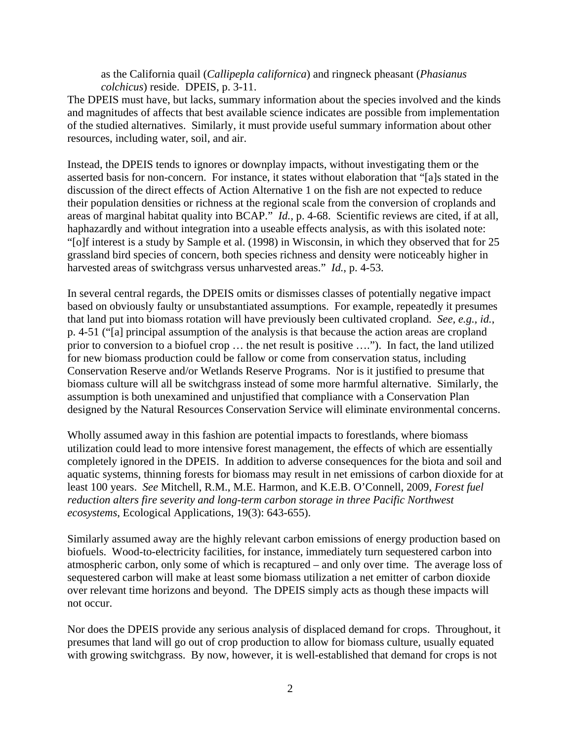as the California quail (*Callipepla californica*) and ringneck pheasant (*Phasianus colchicus*) reside. DPEIS, p. 3-11.

The DPEIS must have, but lacks, summary information about the species involved and the kinds and magnitudes of affects that best available science indicates are possible from implementation of the studied alternatives. Similarly, it must provide useful summary information about other resources, including water, soil, and air.

Instead, the DPEIS tends to ignores or downplay impacts, without investigating them or the asserted basis for non-concern. For instance, it states without elaboration that "[a]s stated in the discussion of the direct effects of Action Alternative 1 on the fish are not expected to reduce their population densities or richness at the regional scale from the conversion of croplands and areas of marginal habitat quality into BCAP." *Id.,* p. 4-68. Scientific reviews are cited, if at all, haphazardly and without integration into a useable effects analysis, as with this isolated note: "[o]f interest is a study by Sample et al. (1998) in Wisconsin, in which they observed that for 25 grassland bird species of concern, both species richness and density were noticeably higher in harvested areas of switchgrass versus unharvested areas." *Id.*, p. 4-53.

In several central regards, the DPEIS omits or dismisses classes of potentially negative impact based on obviously faulty or unsubstantiated assumptions. For example, repeatedly it presumes that land put into biomass rotation will have previously been cultivated cropland. *See, e.g., id.*, p. 4-51 ("[a] principal assumption of the analysis is that because the action areas are cropland prior to conversion to a biofuel crop … the net result is positive …."). In fact, the land utilized for new biomass production could be fallow or come from conservation status, including Conservation Reserve and/or Wetlands Reserve Programs. Nor is it justified to presume that biomass culture will all be switchgrass instead of some more harmful alternative. Similarly, the assumption is both unexamined and unjustified that compliance with a Conservation Plan designed by the Natural Resources Conservation Service will eliminate environmental concerns.

Wholly assumed away in this fashion are potential impacts to forestlands, where biomass utilization could lead to more intensive forest management, the effects of which are essentially completely ignored in the DPEIS. In addition to adverse consequences for the biota and soil and aquatic systems, thinning forests for biomass may result in net emissions of carbon dioxide for at least 100 years. *See* Mitchell, R.M., M.E. Harmon, and K.E.B. O'Connell, 2009, *Forest fuel reduction alters fire severity and long-term carbon storage in three Pacific Northwest ecosystems*, Ecological Applications, 19(3): 643-655).

Similarly assumed away are the highly relevant carbon emissions of energy production based on biofuels. Wood-to-electricity facilities, for instance, immediately turn sequestered carbon into atmospheric carbon, only some of which is recaptured – and only over time. The average loss of sequestered carbon will make at least some biomass utilization a net emitter of carbon dioxide over relevant time horizons and beyond. The DPEIS simply acts as though these impacts will not occur.

Nor does the DPEIS provide any serious analysis of displaced demand for crops. Throughout, it presumes that land will go out of crop production to allow for biomass culture, usually equated with growing switchgrass. By now, however, it is well-established that demand for crops is not